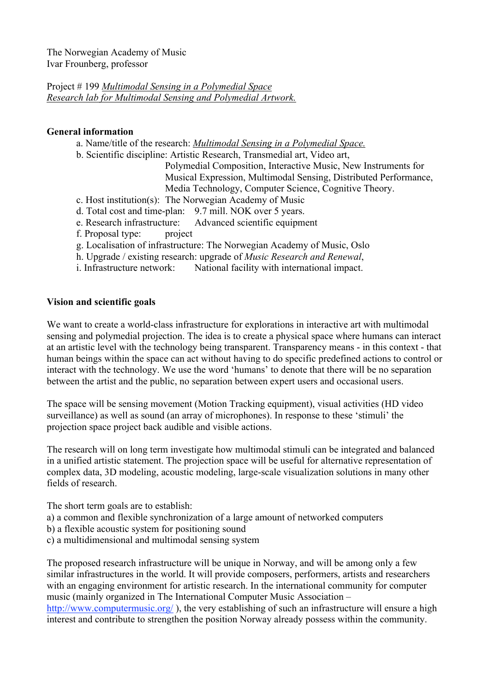Project # 199 *Multimodal Sensing in a Polymedial Space Research lab for Multimodal Sensing and Polymedial Artwork.*

### **General information**

- a. Name/title of the research: *Multimodal Sensing in a Polymedial Space.*
- b. Scientific discipline: Artistic Research, Transmedial art, Video art,
	- Polymedial Composition, Interactive Music, New Instruments for Musical Expression, Multimodal Sensing, Distributed Performance, Media Technology, Computer Science, Cognitive Theory.
- c. Host institution(s): The Norwegian Academy of Music
- d. Total cost and time-plan: 9.7 mill. NOK over 5 years.
- e. Research infrastructure: Advanced scientific equipment
- f. Proposal type: project
- g. Localisation of infrastructure: The Norwegian Academy of Music, Oslo
- h. Upgrade / existing research: upgrade of *Music Research and Renewal*,
- i. Infrastructure network: National facility with international impact.

# **Vision and scientific goals**

We want to create a world-class infrastructure for explorations in interactive art with multimodal sensing and polymedial projection. The idea is to create a physical space where humans can interact at an artistic level with the technology being transparent. Transparency means - in this context - that human beings within the space can act without having to do specific predefined actions to control or interact with the technology. We use the word 'humans' to denote that there will be no separation between the artist and the public, no separation between expert users and occasional users.

The space will be sensing movement (Motion Tracking equipment), visual activities (HD video surveillance) as well as sound (an array of microphones). In response to these 'stimuli' the projection space project back audible and visible actions.

The research will on long term investigate how multimodal stimuli can be integrated and balanced in a unified artistic statement. The projection space will be useful for alternative representation of complex data, 3D modeling, acoustic modeling, large-scale visualization solutions in many other fields of research.

The short term goals are to establish:

- a) a common and flexible synchronization of a large amount of networked computers
- b) a flexible acoustic system for positioning sound
- c) a multidimensional and multimodal sensing system

The proposed research infrastructure will be unique in Norway, and will be among only a few similar infrastructures in the world. It will provide composers, performers, artists and researchers with an engaging environment for artistic research. In the international community for computer music (mainly organized in The International Computer Music Association –

http://www.computermusic.org/), the very establishing of such an infrastructure will ensure a high interest and contribute to strengthen the position Norway already possess within the community.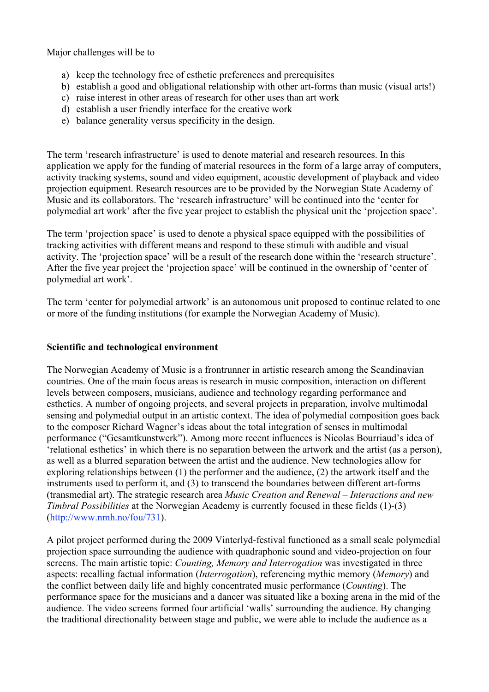Major challenges will be to

- a) keep the technology free of esthetic preferences and prerequisites
- b) establish a good and obligational relationship with other art-forms than music (visual arts!)
- c) raise interest in other areas of research for other uses than art work
- d) establish a user friendly interface for the creative work
- e) balance generality versus specificity in the design.

The term 'research infrastructure' is used to denote material and research resources. In this application we apply for the funding of material resources in the form of a large array of computers, activity tracking systems, sound and video equipment, acoustic development of playback and video projection equipment. Research resources are to be provided by the Norwegian State Academy of Music and its collaborators. The 'research infrastructure' will be continued into the 'center for polymedial art work' after the five year project to establish the physical unit the 'projection space'.

The term 'projection space' is used to denote a physical space equipped with the possibilities of tracking activities with different means and respond to these stimuli with audible and visual activity. The 'projection space' will be a result of the research done within the 'research structure'. After the five year project the 'projection space' will be continued in the ownership of 'center of polymedial art work'.

The term 'center for polymedial artwork' is an autonomous unit proposed to continue related to one or more of the funding institutions (for example the Norwegian Academy of Music).

#### **Scientific and technological environment**

The Norwegian Academy of Music is a frontrunner in artistic research among the Scandinavian countries. One of the main focus areas is research in music composition, interaction on different levels between composers, musicians, audience and technology regarding performance and esthetics. A number of ongoing projects, and several projects in preparation, involve multimodal sensing and polymedial output in an artistic context. The idea of polymedial composition goes back to the composer Richard Wagner's ideas about the total integration of senses in multimodal performance ("Gesamtkunstwerk"). Among more recent influences is Nicolas Bourriaud's idea of 'relational esthetics' in which there is no separation between the artwork and the artist (as a person), as well as a blurred separation between the artist and the audience. New technologies allow for exploring relationships between (1) the performer and the audience, (2) the artwork itself and the instruments used to perform it, and (3) to transcend the boundaries between different art-forms (transmedial art). The strategic research area *Music Creation and Renewal – Interactions and new Timbral Possibilities* at the Norwegian Academy is currently focused in these fields (1)-(3) (http://www.nmh.no/fou/731).

A pilot project performed during the 2009 Vinterlyd-festival functioned as a small scale polymedial projection space surrounding the audience with quadraphonic sound and video-projection on four screens. The main artistic topic: *Counting, Memory and Interrogation* was investigated in three aspects: recalling factual information (*Interrogation*), referencing mythic memory (*Memory*) and the conflict between daily life and highly concentrated music performance (*Counting*). The performance space for the musicians and a dancer was situated like a boxing arena in the mid of the audience. The video screens formed four artificial 'walls' surrounding the audience. By changing the traditional directionality between stage and public, we were able to include the audience as a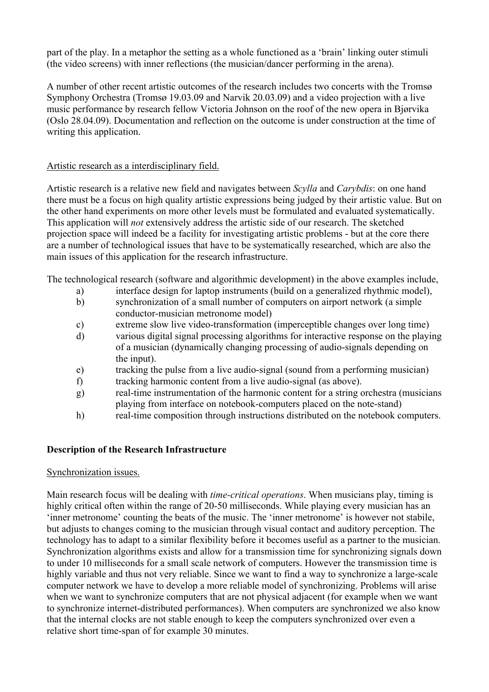part of the play. In a metaphor the setting as a whole functioned as a 'brain' linking outer stimuli (the video screens) with inner reflections (the musician/dancer performing in the arena).

A number of other recent artistic outcomes of the research includes two concerts with the Tromsø Symphony Orchestra (Tromsø 19.03.09 and Narvik 20.03.09) and a video projection with a live music performance by research fellow Victoria Johnson on the roof of the new opera in Bjørvika (Oslo 28.04.09). Documentation and reflection on the outcome is under construction at the time of writing this application.

# Artistic research as a interdisciplinary field.

Artistic research is a relative new field and navigates between *Scylla* and *Carybdis*: on one hand there must be a focus on high quality artistic expressions being judged by their artistic value. But on the other hand experiments on more other levels must be formulated and evaluated systematically. This application will *not* extensively address the artistic side of our research. The sketched projection space will indeed be a facility for investigating artistic problems - but at the core there are a number of technological issues that have to be systematically researched, which are also the main issues of this application for the research infrastructure.

The technological research (software and algorithmic development) in the above examples include,

- a) interface design for laptop instruments (build on a generalized rhythmic model),
- b) synchronization of a small number of computers on airport network (a simple conductor-musician metronome model)
- c) extreme slow live video-transformation (imperceptible changes over long time)
- d) various digital signal processing algorithms for interactive response on the playing of a musician (dynamically changing processing of audio-signals depending on the input).
- e) tracking the pulse from a live audio-signal (sound from a performing musician)
- f) tracking harmonic content from a live audio-signal (as above).
- g) real-time instrumentation of the harmonic content for a string orchestra (musicians playing from interface on notebook-computers placed on the note-stand)
- h) real-time composition through instructions distributed on the notebook computers.

# **Description of the Research Infrastructure**

### Synchronization issues.

Main research focus will be dealing with *time-critical operations*. When musicians play, timing is highly critical often within the range of 20-50 milliseconds. While playing every musician has an 'inner metronome' counting the beats of the music. The 'inner metronome' is however not stabile, but adjusts to changes coming to the musician through visual contact and auditory perception. The technology has to adapt to a similar flexibility before it becomes useful as a partner to the musician. Synchronization algorithms exists and allow for a transmission time for synchronizing signals down to under 10 milliseconds for a small scale network of computers. However the transmission time is highly variable and thus not very reliable. Since we want to find a way to synchronize a large-scale computer network we have to develop a more reliable model of synchronizing. Problems will arise when we want to synchronize computers that are not physical adjacent (for example when we want to synchronize internet-distributed performances). When computers are synchronized we also know that the internal clocks are not stable enough to keep the computers synchronized over even a relative short time-span of for example 30 minutes.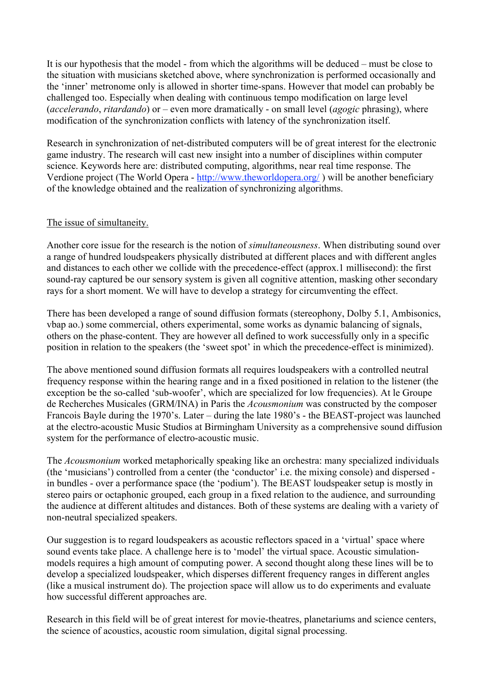It is our hypothesis that the model - from which the algorithms will be deduced – must be close to the situation with musicians sketched above, where synchronization is performed occasionally and the 'inner' metronome only is allowed in shorter time-spans. However that model can probably be challenged too. Especially when dealing with continuous tempo modification on large level (*accelerando*, *ritardando*) or – even more dramatically - on small level (*agogic* phrasing), where modification of the synchronization conflicts with latency of the synchronization itself.

Research in synchronization of net-distributed computers will be of great interest for the electronic game industry. The research will cast new insight into a number of disciplines within computer science. Keywords here are: distributed computing, algorithms, near real time response. The Verdione project (The World Opera - http://www.theworldopera.org/ ) will be another beneficiary of the knowledge obtained and the realization of synchronizing algorithms.

#### The issue of simultaneity.

Another core issue for the research is the notion of *simultaneousness*. When distributing sound over a range of hundred loudspeakers physically distributed at different places and with different angles and distances to each other we collide with the precedence-effect (approx.1 millisecond): the first sound-ray captured be our sensory system is given all cognitive attention, masking other secondary rays for a short moment. We will have to develop a strategy for circumventing the effect.

There has been developed a range of sound diffusion formats (stereophony, Dolby 5.1, Ambisonics, vbap ao.) some commercial, others experimental, some works as dynamic balancing of signals, others on the phase-content. They are however all defined to work successfully only in a specific position in relation to the speakers (the 'sweet spot' in which the precedence-effect is minimized).

The above mentioned sound diffusion formats all requires loudspeakers with a controlled neutral frequency response within the hearing range and in a fixed positioned in relation to the listener (the exception be the so-called 'sub-woofer', which are specialized for low frequencies). At le Groupe de Recherches Musicales (GRM/INA) in Paris the *Acousmonium* was constructed by the composer Francois Bayle during the 1970's. Later – during the late 1980's - the BEAST-project was launched at the electro-acoustic Music Studios at Birmingham University as a comprehensive sound diffusion system for the performance of electro-acoustic music.

The *Acousmonium* worked metaphorically speaking like an orchestra: many specialized individuals (the 'musicians') controlled from a center (the 'conductor' i.e. the mixing console) and dispersed in bundles - over a performance space (the 'podium'). The BEAST loudspeaker setup is mostly in stereo pairs or octaphonic grouped, each group in a fixed relation to the audience, and surrounding the audience at different altitudes and distances. Both of these systems are dealing with a variety of non-neutral specialized speakers.

Our suggestion is to regard loudspeakers as acoustic reflectors spaced in a 'virtual' space where sound events take place. A challenge here is to 'model' the virtual space. Acoustic simulationmodels requires a high amount of computing power. A second thought along these lines will be to develop a specialized loudspeaker, which disperses different frequency ranges in different angles (like a musical instrument do). The projection space will allow us to do experiments and evaluate how successful different approaches are.

Research in this field will be of great interest for movie-theatres, planetariums and science centers, the science of acoustics, acoustic room simulation, digital signal processing.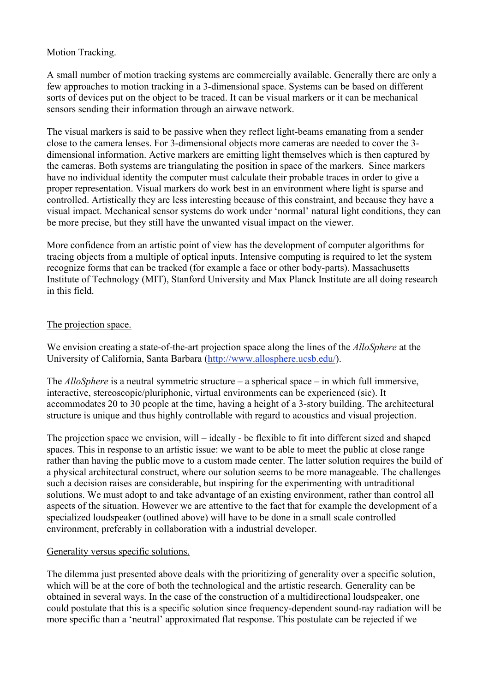## Motion Tracking.

A small number of motion tracking systems are commercially available. Generally there are only a few approaches to motion tracking in a 3-dimensional space. Systems can be based on different sorts of devices put on the object to be traced. It can be visual markers or it can be mechanical sensors sending their information through an airwave network.

The visual markers is said to be passive when they reflect light-beams emanating from a sender close to the camera lenses. For 3-dimensional objects more cameras are needed to cover the 3 dimensional information. Active markers are emitting light themselves which is then captured by the cameras. Both systems are triangulating the position in space of the markers. Since markers have no individual identity the computer must calculate their probable traces in order to give a proper representation. Visual markers do work best in an environment where light is sparse and controlled. Artistically they are less interesting because of this constraint, and because they have a visual impact. Mechanical sensor systems do work under 'normal' natural light conditions, they can be more precise, but they still have the unwanted visual impact on the viewer.

More confidence from an artistic point of view has the development of computer algorithms for tracing objects from a multiple of optical inputs. Intensive computing is required to let the system recognize forms that can be tracked (for example a face or other body-parts). Massachusetts Institute of Technology (MIT), Stanford University and Max Planck Institute are all doing research in this field.

### The projection space.

We envision creating a state-of-the-art projection space along the lines of the *AlloSphere* at the University of California, Santa Barbara (http://www.allosphere.ucsb.edu/).

The *AlloSphere* is a neutral symmetric structure – a spherical space – in which full immersive, interactive, stereoscopic/pluriphonic, virtual environments can be experienced (sic). It accommodates 20 to 30 people at the time, having a height of a 3-story building. The architectural structure is unique and thus highly controllable with regard to acoustics and visual projection.

The projection space we envision, will – ideally - be flexible to fit into different sized and shaped spaces. This in response to an artistic issue: we want to be able to meet the public at close range rather than having the public move to a custom made center. The latter solution requires the build of a physical architectural construct, where our solution seems to be more manageable. The challenges such a decision raises are considerable, but inspiring for the experimenting with untraditional solutions. We must adopt to and take advantage of an existing environment, rather than control all aspects of the situation. However we are attentive to the fact that for example the development of a specialized loudspeaker (outlined above) will have to be done in a small scale controlled environment, preferably in collaboration with a industrial developer.

#### Generality versus specific solutions.

The dilemma just presented above deals with the prioritizing of generality over a specific solution, which will be at the core of both the technological and the artistic research. Generality can be obtained in several ways. In the case of the construction of a multidirectional loudspeaker, one could postulate that this is a specific solution since frequency-dependent sound-ray radiation will be more specific than a 'neutral' approximated flat response. This postulate can be rejected if we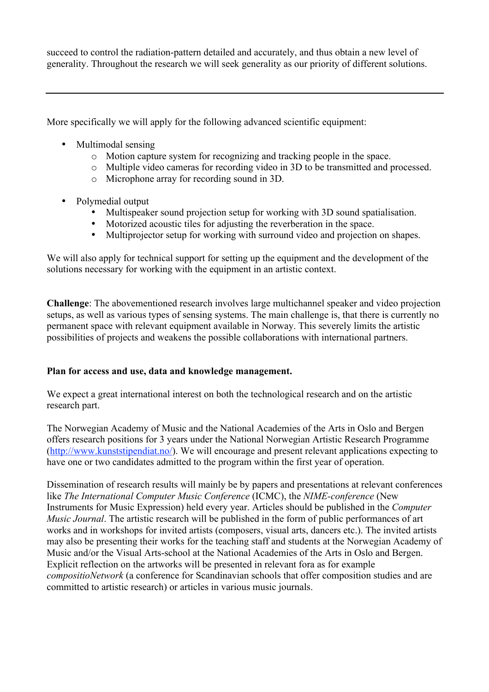succeed to control the radiation-pattern detailed and accurately, and thus obtain a new level of generality. Throughout the research we will seek generality as our priority of different solutions.

More specifically we will apply for the following advanced scientific equipment:

- Multimodal sensing
	- o Motion capture system for recognizing and tracking people in the space.
	- o Multiple video cameras for recording video in 3D to be transmitted and processed.
	- o Microphone array for recording sound in 3D.
- Polymedial output
	- Multispeaker sound projection setup for working with 3D sound spatialisation.
	- Motorized acoustic tiles for adjusting the reverberation in the space.
	- Multiprojector setup for working with surround video and projection on shapes.

We will also apply for technical support for setting up the equipment and the development of the solutions necessary for working with the equipment in an artistic context.

**Challenge**: The abovementioned research involves large multichannel speaker and video projection setups, as well as various types of sensing systems. The main challenge is, that there is currently no permanent space with relevant equipment available in Norway. This severely limits the artistic possibilities of projects and weakens the possible collaborations with international partners.

### **Plan for access and use, data and knowledge management.**

We expect a great international interest on both the technological research and on the artistic research part.

The Norwegian Academy of Music and the National Academies of the Arts in Oslo and Bergen offers research positions for 3 years under the National Norwegian Artistic Research Programme (http://www.kunststipendiat.no/). We will encourage and present relevant applications expecting to have one or two candidates admitted to the program within the first year of operation.

Dissemination of research results will mainly be by papers and presentations at relevant conferences like *The International Computer Music Conference* (ICMC), the *NIME-conference* (New Instruments for Music Expression) held every year. Articles should be published in the *Computer Music Journal*. The artistic research will be published in the form of public performances of art works and in workshops for invited artists (composers, visual arts, dancers etc.). The invited artists may also be presenting their works for the teaching staff and students at the Norwegian Academy of Music and/or the Visual Arts-school at the National Academies of the Arts in Oslo and Bergen. Explicit reflection on the artworks will be presented in relevant fora as for example *compositioNetwork* (a conference for Scandinavian schools that offer composition studies and are committed to artistic research) or articles in various music journals.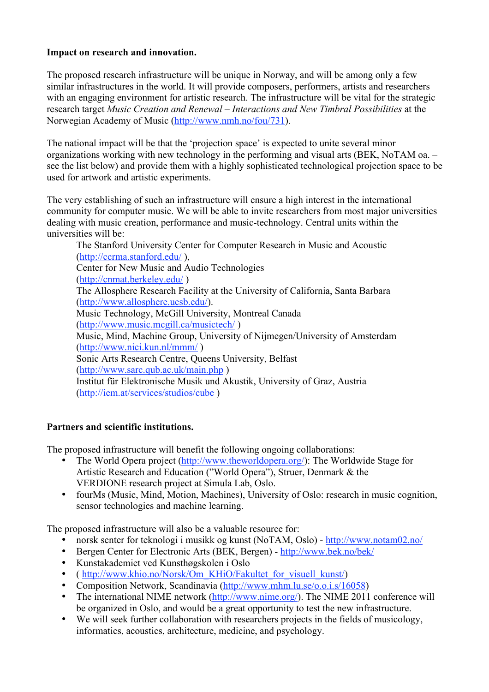# **Impact on research and innovation.**

The proposed research infrastructure will be unique in Norway, and will be among only a few similar infrastructures in the world. It will provide composers, performers, artists and researchers with an engaging environment for artistic research. The infrastructure will be vital for the strategic research target *Music Creation and Renewal – Interactions and New Timbral Possibilities* at the Norwegian Academy of Music (http://www.nmh.no/fou/731).

The national impact will be that the 'projection space' is expected to unite several minor organizations working with new technology in the performing and visual arts (BEK, NoTAM oa. – see the list below) and provide them with a highly sophisticated technological projection space to be used for artwork and artistic experiments.

The very establishing of such an infrastructure will ensure a high interest in the international community for computer music. We will be able to invite researchers from most major universities dealing with music creation, performance and music-technology. Central units within the universities will be:

The Stanford University Center for Computer Research in Music and Acoustic (http://ccrma.stanford.edu/ ), Center for New Music and Audio Technologies (http://cnmat.berkeley.edu/ ) The Allosphere Research Facility at the University of California, Santa Barbara (http://www.allosphere.ucsb.edu/). Music Technology, McGill University, Montreal Canada (http://www.music.mcgill.ca/musictech/ ) Music, Mind, Machine Group, University of Nijmegen/University of Amsterdam (http://www.nici.kun.nl/mmm/ ) Sonic Arts Research Centre, Queens University, Belfast (http://www.sarc.qub.ac.uk/main.php ) Institut für Elektronische Musik und Akustik, University of Graz, Austria (http://iem.at/services/studios/cube )

# **Partners and scientific institutions.**

The proposed infrastructure will benefit the following ongoing collaborations:

- The World Opera project (http://www.theworldopera.org/): The Worldwide Stage for Artistic Research and Education ("World Opera"), Struer, Denmark & the VERDIONE research project at Simula Lab, Oslo.
- fourMs (Music, Mind, Motion, Machines), University of Oslo: research in music cognition, sensor technologies and machine learning.

The proposed infrastructure will also be a valuable resource for:

- norsk senter for teknologi i musikk og kunst (NoTAM, Oslo) http://www.notam02.no/
- Bergen Center for Electronic Arts (BEK, Bergen) http://www.bek.no/bek/
- Kunstakademiet ved Kunsthøgskolen i Oslo
- ( http://www.khio.no/Norsk/Om\_KHiO/Fakultet\_for\_visuell\_kunst/)
- Composition Network, Scandinavia (http://www.mhm.lu.se/o.o.i.s/16058)
- The international NIME network (http://www.nime.org/). The NIME 2011 conference will be organized in Oslo, and would be a great opportunity to test the new infrastructure.
- We will seek further collaboration with researchers projects in the fields of musicology, informatics, acoustics, architecture, medicine, and psychology.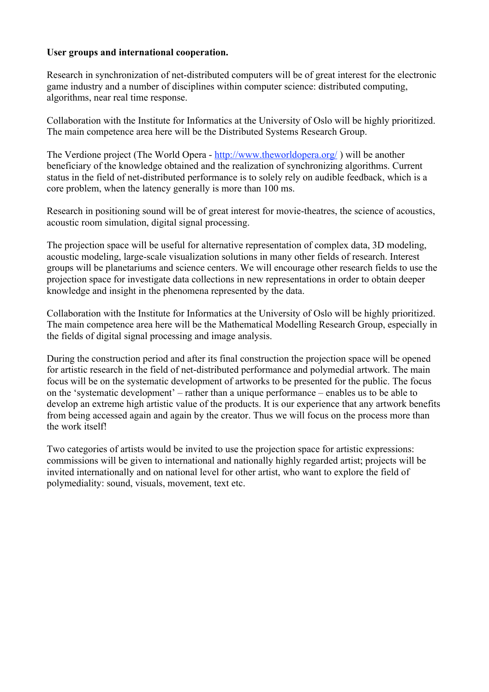### **User groups and international cooperation.**

Research in synchronization of net-distributed computers will be of great interest for the electronic game industry and a number of disciplines within computer science: distributed computing, algorithms, near real time response.

Collaboration with the Institute for Informatics at the University of Oslo will be highly prioritized. The main competence area here will be the Distributed Systems Research Group.

The Verdione project (The World Opera - http://www.theworldopera.org/ ) will be another beneficiary of the knowledge obtained and the realization of synchronizing algorithms. Current status in the field of net-distributed performance is to solely rely on audible feedback, which is a core problem, when the latency generally is more than 100 ms.

Research in positioning sound will be of great interest for movie-theatres, the science of acoustics, acoustic room simulation, digital signal processing.

The projection space will be useful for alternative representation of complex data, 3D modeling, acoustic modeling, large-scale visualization solutions in many other fields of research. Interest groups will be planetariums and science centers. We will encourage other research fields to use the projection space for investigate data collections in new representations in order to obtain deeper knowledge and insight in the phenomena represented by the data.

Collaboration with the Institute for Informatics at the University of Oslo will be highly prioritized. The main competence area here will be the Mathematical Modelling Research Group, especially in the fields of digital signal processing and image analysis.

During the construction period and after its final construction the projection space will be opened for artistic research in the field of net-distributed performance and polymedial artwork. The main focus will be on the systematic development of artworks to be presented for the public. The focus on the 'systematic development' – rather than a unique performance – enables us to be able to develop an extreme high artistic value of the products. It is our experience that any artwork benefits from being accessed again and again by the creator. Thus we will focus on the process more than the work itself!

Two categories of artists would be invited to use the projection space for artistic expressions: commissions will be given to international and nationally highly regarded artist; projects will be invited internationally and on national level for other artist, who want to explore the field of polymediality: sound, visuals, movement, text etc.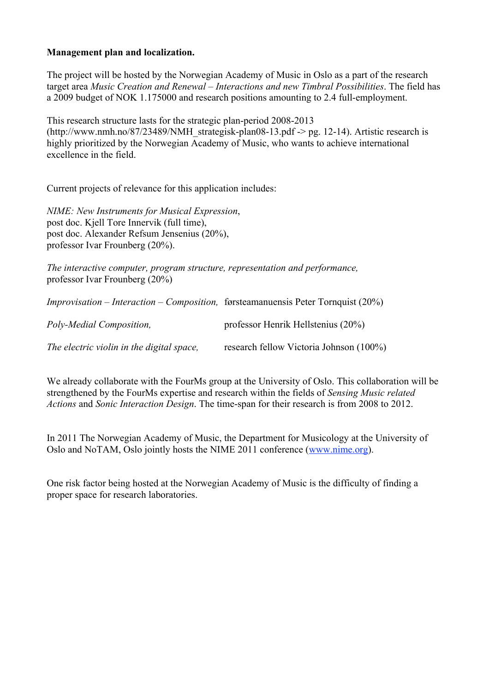### **Management plan and localization.**

The project will be hosted by the Norwegian Academy of Music in Oslo as a part of the research target area *Music Creation and Renewal – Interactions and new Timbral Possibilities*. The field has a 2009 budget of NOK 1.175000 and research positions amounting to 2.4 full-employment.

This research structure lasts for the strategic plan-period 2008-2013 (http://www.nmh.no/87/23489/NMH\_strategisk-plan08-13.pdf -> pg. 12-14). Artistic research is highly prioritized by the Norwegian Academy of Music, who wants to achieve international excellence in the field.

Current projects of relevance for this application includes:

*NIME: New Instruments for Musical Expression*, post doc. Kjell Tore Innervik (full time), post doc. Alexander Refsum Jensenius (20%), professor Ivar Frounberg (20%).

*The interactive computer, program structure, representation and performance,* professor Ivar Frounberg (20%)

*Improvisation – Interaction – Composition,* førsteamanuensis Peter Tornquist (20%)

| Poly-Medial Composition,                  | professor Henrik Hellstenius $(20\%)$   |
|-------------------------------------------|-----------------------------------------|
| The electric violin in the digital space, | research fellow Victoria Johnson (100%) |

We already collaborate with the FourMs group at the University of Oslo. This collaboration will be strengthened by the FourMs expertise and research within the fields of *Sensing Music related Actions* and *Sonic Interaction Design*. The time-span for their research is from 2008 to 2012.

In 2011 The Norwegian Academy of Music, the Department for Musicology at the University of Oslo and NoTAM, Oslo jointly hosts the NIME 2011 conference (www.nime.org).

One risk factor being hosted at the Norwegian Academy of Music is the difficulty of finding a proper space for research laboratories.